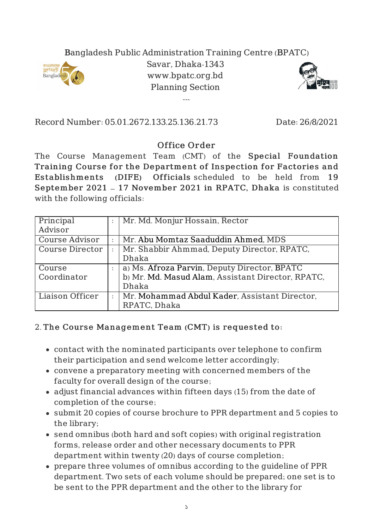## Bangladesh Public Administration Training Centre (BPATC)



Savar, Dhaka-1343 www.bpatc.org.bd Planning Section

---



Record Number: 05.01.2672.133.25.136.21.73 Date: 26/8/2021

## Office Order

The Course Management Team (CMT) of the Special Foundation Training Course for the Department of Inspection for Factories and Es tablishments (DIFE) Officials scheduled to be held from 19 September 2021 – 17 November 2021 in RPATC, Dhaka is constituted with the following officials:

| Principal              | Mr. Md. Monjur Hossain, Rector                    |
|------------------------|---------------------------------------------------|
| Advisor                |                                                   |
| <b>Course Advisor</b>  | Mr. Abu Momtaz Saaduddin Ahmed, MDS               |
| <b>Course Director</b> | Mr. Shabbir Ahmmad, Deputy Director, RPATC,       |
|                        | Dhaka                                             |
| Course                 | a) Ms. Afroza Parvin, Deputy Director, BPATC      |
| Coordinator            | b) Mr. Md. Masud Alam, Assistant Director, RPATC, |
|                        | Dhaka                                             |
| Liaison Officer        | Mr. Mohammad Abdul Kader, Assistant Director,     |
|                        | RPATC, Dhaka                                      |

## 2. The Course Management Team (CMT) is requested to:

- contact with the nominated participants over telephone to confirm their participation and send welcome letter accordingly;
- convene a preparatory meeting with concerned members of the faculty for overall design of the course;
- adjust financial advances within fifteen days (15) from the date of completion of the course;
- submit 20 copies of course brochure to PPR department and 5 copies to the library;
- send omnibus (both hard and soft copies) with original registration forms, release order and other necessary documents to PPR department within twenty (20) days of course completion;
- prepare three volumes of omnibus according to the guideline of PPR department. Two sets of each volume should be prepared; one set is to be sent to the PPR department and the other to the library for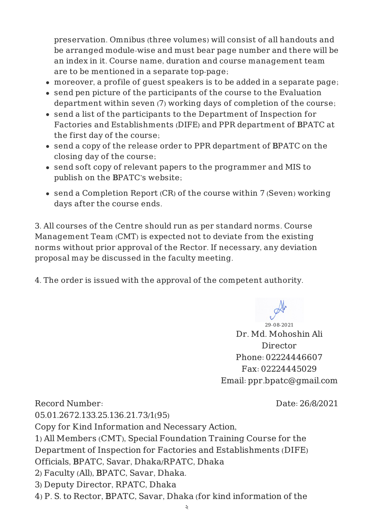preservation. Omnibus (three volumes) will consist of all handouts and be arranged module-wise and must bear page number and there will be an index in it. Course name, duration and course management team are to be mentioned in a separate top-page;

- moreover, a profile of guest speakers is to be added in a separate page;
- send pen picture of the participants of the course to the Evaluation department within seven (7) working days of completion of the course;
- send a list of the participants to the Department of Inspection for Factories and Establishments (DIFE) and PPR department of BPATC at the first day of the course;
- send a copy of the release order to PPR department of BPATC on the closing day of the course;
- send soft copy of relevant papers to the programmer and MIS to publish on the BPATC's website;
- send a Completion Report (CR) of the course within 7 (Seven) working days after the course ends.

3. All courses of the Centre should run as per standard norms. Course Management Team (CMT) is expected not to deviate from the existing norms without prior approval of the Rector. If necessary, any deviation proposal may be discussed in the faculty meeting.

4. The order is issued with the approval of the competent authority.

29-08-2021 Dr. Md. Mohoshin Ali Director Phone: 02224446607 Fax: 02224445029 Email: ppr.bpatc@gmail.com

Record Number: 05.01.2672.133.25.136.21.73/1(95) Date: 26/8/2021 Copy for Kind Information and Necessary Action, 1) All Members (CMT), Special Foundation Training Course for the Department of Inspection for Factories and Establishments (DIFE) Officials, BPATC, Savar, Dhaka/RPATC, Dhaka 2) Faculty (All), BPATC, Savar, Dhaka. 3) Deputy Director, RPATC, Dhaka 4) P. S. to Rector, BPATC, Savar, Dhaka (for kind information of the

২